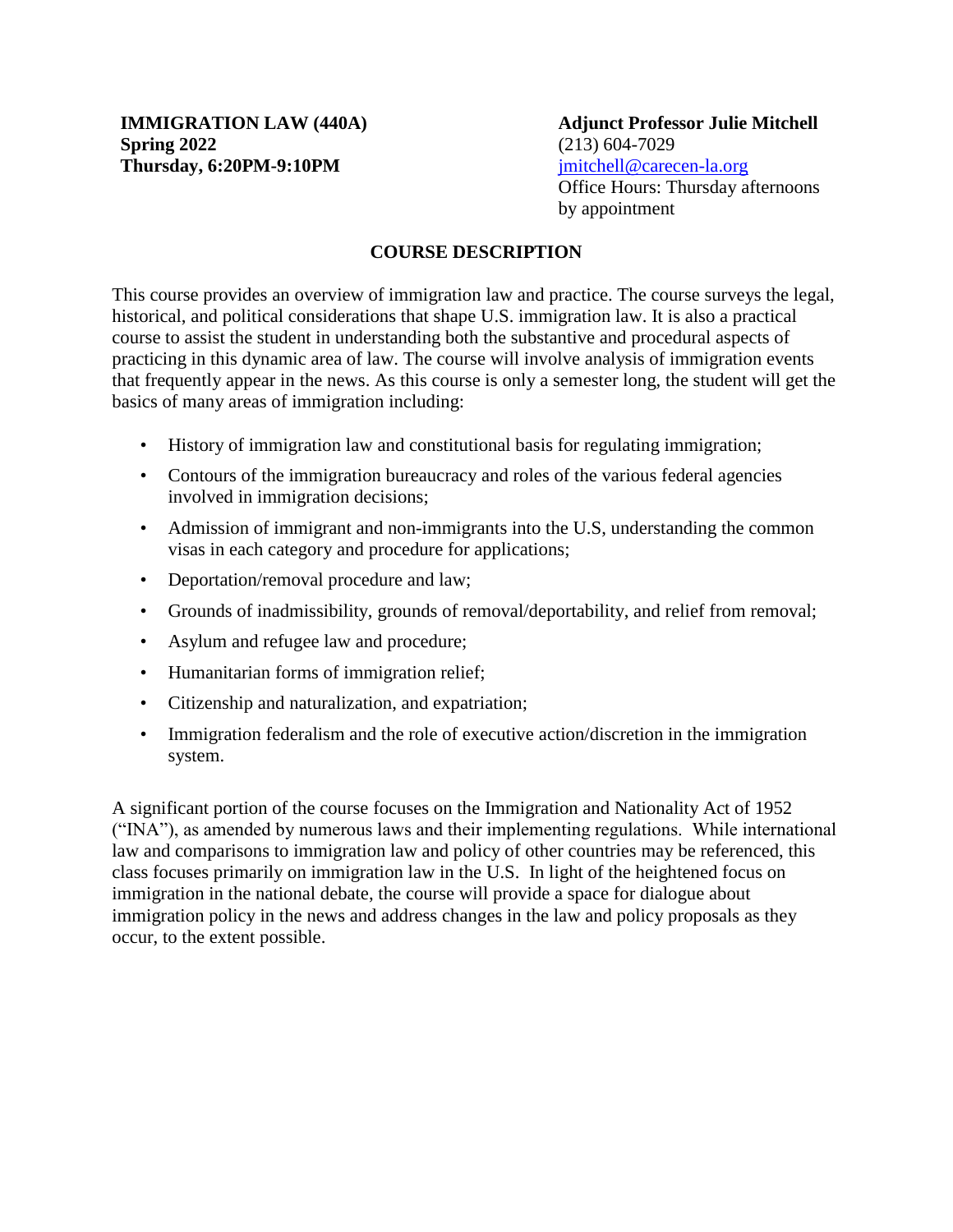**Adjunct Professor Julie Mitchell**  (213) 604-7029 [jmitchell@carecen-la.org](mailto:jmitchell@carecen-la.org) Office Hours: Thursday afternoons by appointment

# **COURSE DESCRIPTION**

This course provides an overview of immigration law and practice. The course surveys the legal, historical, and political considerations that shape U.S. immigration law. It is also a practical course to assist the student in understanding both the substantive and procedural aspects of practicing in this dynamic area of law. The course will involve analysis of immigration events that frequently appear in the news. As this course is only a semester long, the student will get the basics of many areas of immigration including:

- History of immigration law and constitutional basis for regulating immigration;
- Contours of the immigration bureaucracy and roles of the various federal agencies involved in immigration decisions;
- Admission of immigrant and non-immigrants into the U.S, understanding the common visas in each category and procedure for applications;
- Deportation/removal procedure and law;
- Grounds of inadmissibility, grounds of removal/deportability, and relief from removal;
- Asylum and refugee law and procedure;
- Humanitarian forms of immigration relief;
- Citizenship and naturalization, and expatriation;
- Immigration federalism and the role of executive action/discretion in the immigration system.

A significant portion of the course focuses on the Immigration and Nationality Act of 1952 ("INA"), as amended by numerous laws and their implementing regulations. While international law and comparisons to immigration law and policy of other countries may be referenced, this class focuses primarily on immigration law in the U.S. In light of the heightened focus on immigration in the national debate, the course will provide a space for dialogue about immigration policy in the news and address changes in the law and policy proposals as they occur, to the extent possible.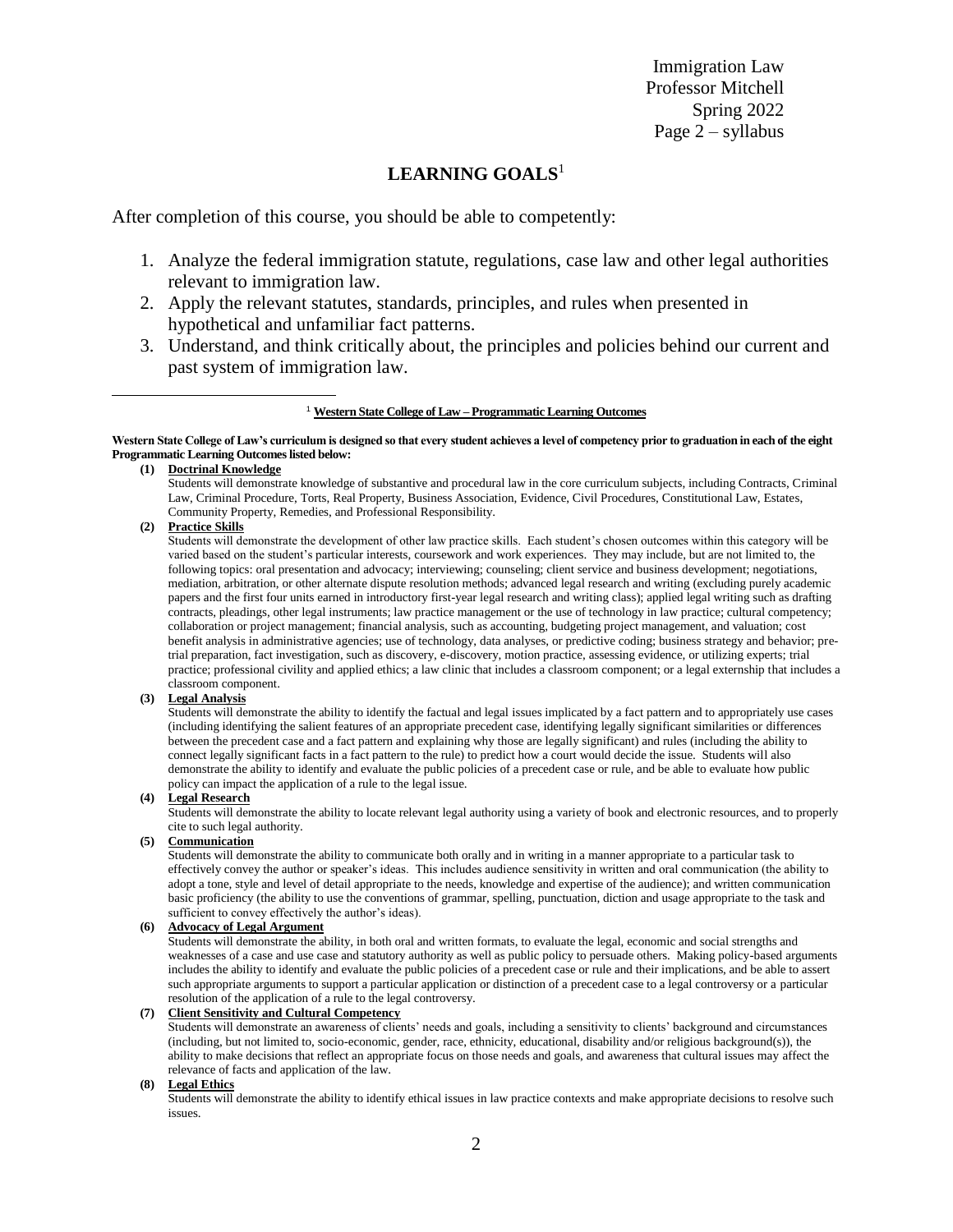Immigration Law Professor Mitchell Spring 2022 Page 2 – syllabus

#### **LEARNING GOALS**<sup>1</sup>

After completion of this course, you should be able to competently:

- 1. Analyze the federal immigration statute, regulations, case law and other legal authorities relevant to immigration law.
- 2. Apply the relevant statutes, standards, principles, and rules when presented in hypothetical and unfamiliar fact patterns.
- 3. Understand, and think critically about, the principles and policies behind our current and past system of immigration law.

#### **Western State College of Law's curriculum is designed so that every student achieves a level of competency prior to graduation in each of the eight Programmatic Learning Outcomes listed below:**

#### **(1) Doctrinal Knowledge**

Students will demonstrate knowledge of substantive and procedural law in the core curriculum subjects, including Contracts, Criminal Law, Criminal Procedure, Torts, Real Property, Business Association, Evidence, Civil Procedures, Constitutional Law, Estates, Community Property, Remedies, and Professional Responsibility.

#### **(2) Practice Skills**

 $\overline{a}$ 

Students will demonstrate the development of other law practice skills. Each student's chosen outcomes within this category will be varied based on the student's particular interests, coursework and work experiences. They may include, but are not limited to, the following topics: oral presentation and advocacy; interviewing; counseling; client service and business development; negotiations, mediation, arbitration, or other alternate dispute resolution methods; advanced legal research and writing (excluding purely academic papers and the first four units earned in introductory first-year legal research and writing class); applied legal writing such as drafting contracts, pleadings, other legal instruments; law practice management or the use of technology in law practice; cultural competency; collaboration or project management; financial analysis, such as accounting, budgeting project management, and valuation; cost benefit analysis in administrative agencies; use of technology, data analyses, or predictive coding; business strategy and behavior; pretrial preparation, fact investigation, such as discovery, e-discovery, motion practice, assessing evidence, or utilizing experts; trial practice; professional civility and applied ethics; a law clinic that includes a classroom component; or a legal externship that includes a classroom component.

#### **(3) Legal Analysis**

Students will demonstrate the ability to identify the factual and legal issues implicated by a fact pattern and to appropriately use cases (including identifying the salient features of an appropriate precedent case, identifying legally significant similarities or differences between the precedent case and a fact pattern and explaining why those are legally significant) and rules (including the ability to connect legally significant facts in a fact pattern to the rule) to predict how a court would decide the issue. Students will also demonstrate the ability to identify and evaluate the public policies of a precedent case or rule, and be able to evaluate how public policy can impact the application of a rule to the legal issue.

#### **(4) Legal Research**

Students will demonstrate the ability to locate relevant legal authority using a variety of book and electronic resources, and to properly cite to such legal authority.

#### **(5) Communication**

Students will demonstrate the ability to communicate both orally and in writing in a manner appropriate to a particular task to effectively convey the author or speaker's ideas. This includes audience sensitivity in written and oral communication (the ability to adopt a tone, style and level of detail appropriate to the needs, knowledge and expertise of the audience); and written communication basic proficiency (the ability to use the conventions of grammar, spelling, punctuation, diction and usage appropriate to the task and sufficient to convey effectively the author's ideas).

#### **(6) Advocacy of Legal Argument**

Students will demonstrate the ability, in both oral and written formats, to evaluate the legal, economic and social strengths and weaknesses of a case and use case and statutory authority as well as public policy to persuade others. Making policy-based arguments includes the ability to identify and evaluate the public policies of a precedent case or rule and their implications, and be able to assert such appropriate arguments to support a particular application or distinction of a precedent case to a legal controversy or a particular resolution of the application of a rule to the legal controversy.

#### **(7) Client Sensitivity and Cultural Competency**

Students will demonstrate an awareness of clients' needs and goals, including a sensitivity to clients' background and circumstances (including, but not limited to, socio-economic, gender, race, ethnicity, educational, disability and/or religious background(s)), the ability to make decisions that reflect an appropriate focus on those needs and goals, and awareness that cultural issues may affect the relevance of facts and application of the law.

#### **(8) Legal Ethics**

Students will demonstrate the ability to identify ethical issues in law practice contexts and make appropriate decisions to resolve such issues.

<sup>1</sup> **Western State College of Law – Programmatic Learning Outcomes**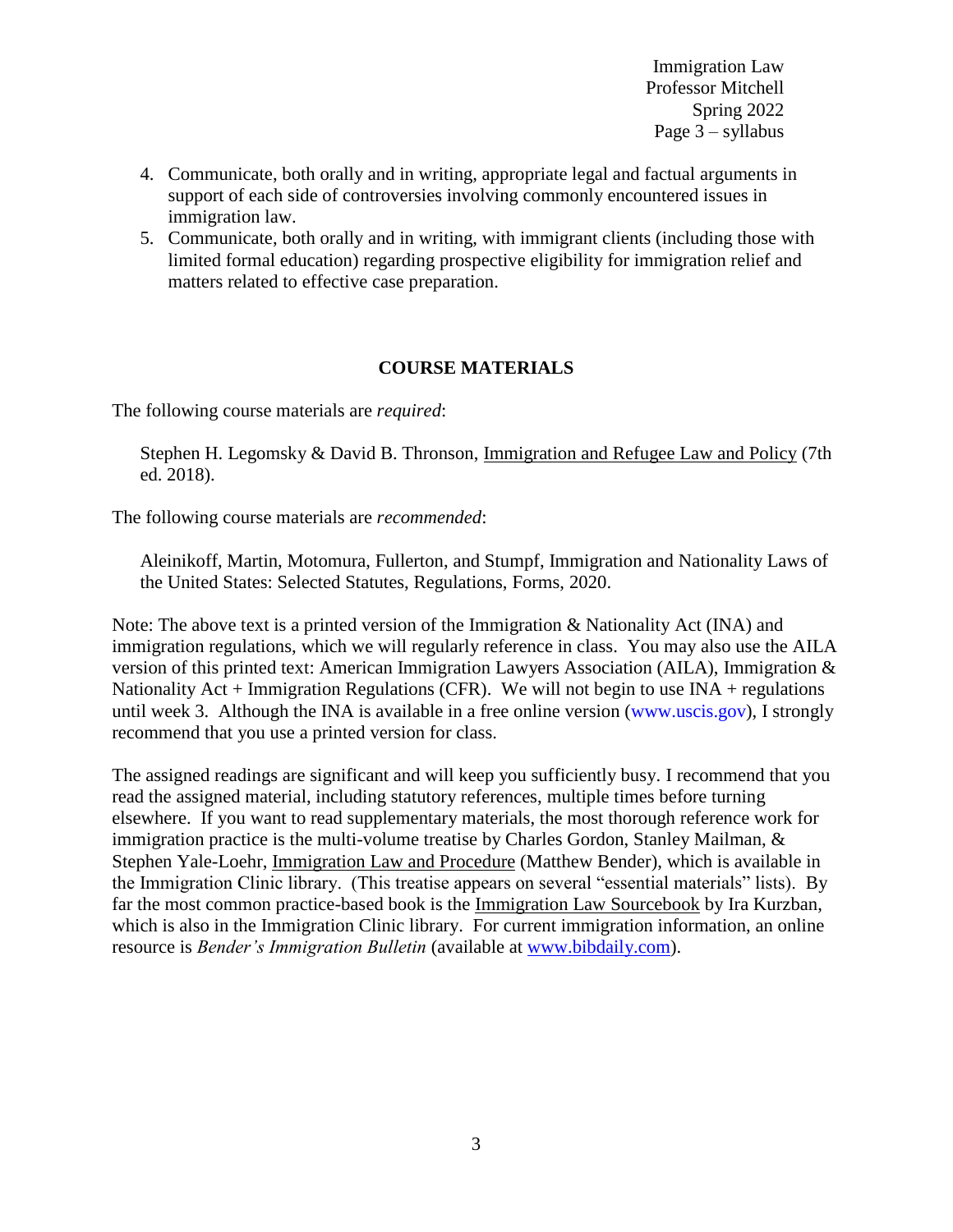Immigration Law Professor Mitchell Spring 2022 Page 3 – syllabus

- 4. Communicate, both orally and in writing, appropriate legal and factual arguments in support of each side of controversies involving commonly encountered issues in immigration law.
- 5. Communicate, both orally and in writing, with immigrant clients (including those with limited formal education) regarding prospective eligibility for immigration relief and matters related to effective case preparation.

#### **COURSE MATERIALS**

The following course materials are *required*:

Stephen H. Legomsky & David B. Thronson, Immigration and Refugee Law and Policy (7th ed. 2018).

The following course materials are *recommended*:

Aleinikoff, Martin, Motomura, Fullerton, and Stumpf, Immigration and Nationality Laws of the United States: Selected Statutes, Regulations, Forms, 2020.

Note: The above text is a printed version of the Immigration & Nationality Act (INA) and immigration regulations, which we will regularly reference in class. You may also use the AILA version of this printed text: American Immigration Lawyers Association (AILA), [Immigration &](https://agora.aila.org/product/detail/3566)  Nationality  $Act + \text{Immigration Regulations (CFR)}$ . We will not begin to use  $INA + \text{regulations}$ until week 3. Although the INA is available in a free online version [\(www.uscis.gov\)](http://www.uscis.gov/), I strongly recommend that you use a printed version for class.

The assigned readings are significant and will keep you sufficiently busy. I recommend that you read the assigned material, including statutory references, multiple times before turning elsewhere. If you want to read supplementary materials, the most thorough reference work for immigration practice is the multi-volume treatise by Charles Gordon, Stanley Mailman, & Stephen Yale-Loehr, Immigration Law and Procedure (Matthew Bender), which is available in the Immigration Clinic library. (This treatise appears on several "essential materials" lists). By far the most common practice-based book is the Immigration Law Sourcebook by Ira Kurzban, which is also in the Immigration Clinic library. For current immigration information, an online resource is *Bender's Immigration Bulletin* (available at [www.bibdaily.com\)](http://www.bibdaily.com/).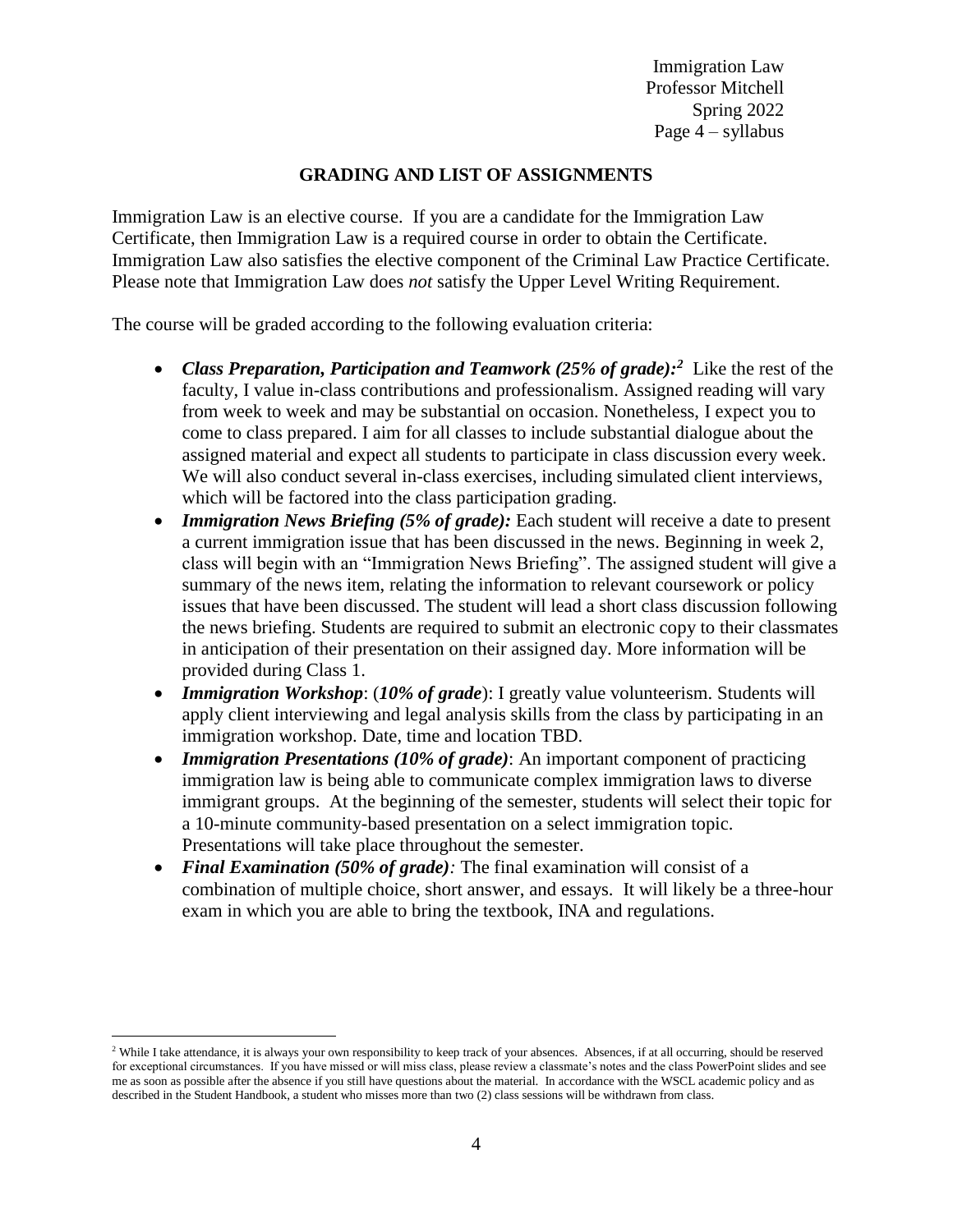Immigration Law Professor Mitchell Spring 2022 Page 4 – syllabus

# **GRADING AND LIST OF ASSIGNMENTS**

Immigration Law is an elective course. If you are a candidate for the Immigration Law Certificate, then Immigration Law is a required course in order to obtain the Certificate. Immigration Law also satisfies the elective component of the Criminal Law Practice Certificate. Please note that Immigration Law does *not* satisfy the Upper Level Writing Requirement.

The course will be graded according to the following evaluation criteria:

- Class Preparation, Participation and Teamwork (25% of grade):<sup>2</sup> Like the rest of the faculty, I value in-class contributions and professionalism. Assigned reading will vary from week to week and may be substantial on occasion. Nonetheless, I expect you to come to class prepared. I aim for all classes to include substantial dialogue about the assigned material and expect all students to participate in class discussion every week. We will also conduct several in-class exercises, including simulated client interviews, which will be factored into the class participation grading.
- *Immigration News Briefing (5% of grade)*: Each student will receive a date to present a current immigration issue that has been discussed in the news. Beginning in week 2, class will begin with an "Immigration News Briefing". The assigned student will give a summary of the news item, relating the information to relevant coursework or policy issues that have been discussed. The student will lead a short class discussion following the news briefing. Students are required to submit an electronic copy to their classmates in anticipation of their presentation on their assigned day. More information will be provided during Class 1.
- *Immigration Workshop*: (*10% of grade*): I greatly value volunteerism. Students will apply client interviewing and legal analysis skills from the class by participating in an immigration workshop. Date, time and location TBD.
- *Immigration Presentations (10% of grade)*: An important component of practicing immigration law is being able to communicate complex immigration laws to diverse immigrant groups. At the beginning of the semester, students will select their topic for a 10-minute community-based presentation on a select immigration topic. Presentations will take place throughout the semester.
- *Final Examination (50% of grade):* The final examination will consist of a combination of multiple choice, short answer, and essays. It will likely be a three-hour exam in which you are able to bring the textbook, INA and regulations.

 $\overline{a}$ 

<sup>&</sup>lt;sup>2</sup> While I take attendance, it is always your own responsibility to keep track of your absences. Absences, if at all occurring, should be reserved for exceptional circumstances. If you have missed or will miss class, please review a classmate's notes and the class PowerPoint slides and see me as soon as possible after the absence if you still have questions about the material. In accordance with the WSCL academic policy and as described in the Student Handbook, a student who misses more than two (2) class sessions will be withdrawn from class.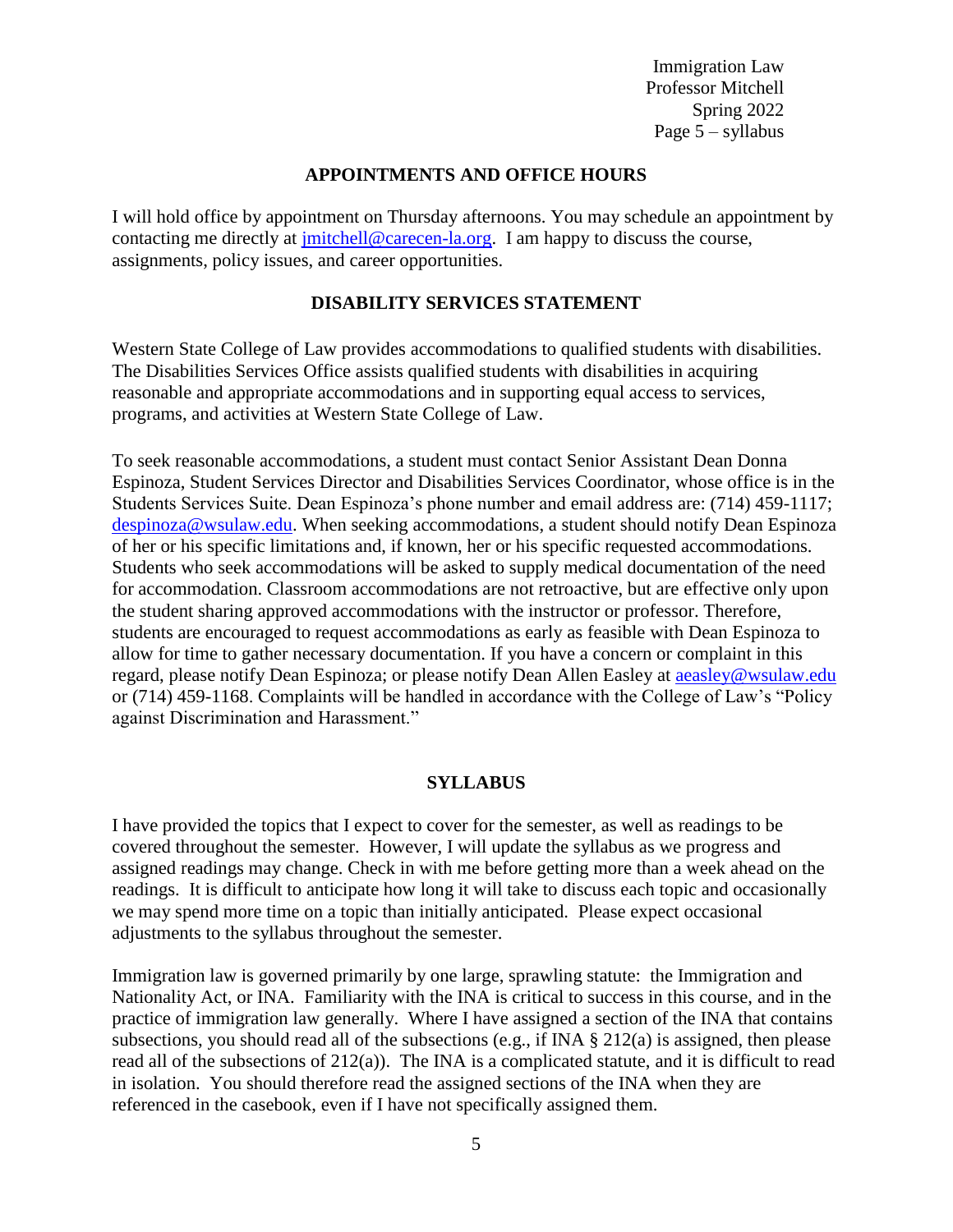Immigration Law Professor Mitchell Spring 2022 Page 5 – syllabus

#### **APPOINTMENTS AND OFFICE HOURS**

I will hold office by appointment on Thursday afternoons. You may schedule an appointment by contacting me directly at [jmitchell@carecen-la.org.](mailto:jmitchell@carecen-la.org) I am happy to discuss the course, assignments, policy issues, and career opportunities.

#### **DISABILITY SERVICES STATEMENT**

Western State College of Law provides accommodations to qualified students with disabilities. The Disabilities Services Office assists qualified students with disabilities in acquiring reasonable and appropriate accommodations and in supporting equal access to services, programs, and activities at Western State College of Law.

To seek reasonable accommodations, a student must contact Senior Assistant Dean Donna Espinoza, Student Services Director and Disabilities Services Coordinator, whose office is in the Students Services Suite. Dean Espinoza's phone number and email address are: (714) 459-1117; [despinoza@wsulaw.edu.](mailto:despinoza@wsulaw.edu) When seeking accommodations, a student should notify Dean Espinoza of her or his specific limitations and, if known, her or his specific requested accommodations. Students who seek accommodations will be asked to supply medical documentation of the need for accommodation. Classroom accommodations are not retroactive, but are effective only upon the student sharing approved accommodations with the instructor or professor. Therefore, students are encouraged to request accommodations as early as feasible with Dean Espinoza to allow for time to gather necessary documentation. If you have a concern or complaint in this regard, please notify Dean Espinoza; or please notify Dean Allen Easley at **aeasley@wsulaw.edu** or (714) 459-1168. Complaints will be handled in accordance with the College of Law's "Policy against Discrimination and Harassment."

#### **SYLLABUS**

I have provided the topics that I expect to cover for the semester, as well as readings to be covered throughout the semester. However, I will update the syllabus as we progress and assigned readings may change. Check in with me before getting more than a week ahead on the readings. It is difficult to anticipate how long it will take to discuss each topic and occasionally we may spend more time on a topic than initially anticipated. Please expect occasional adjustments to the syllabus throughout the semester.

Immigration law is governed primarily by one large, sprawling statute: the Immigration and Nationality Act, or INA. Familiarity with the INA is critical to success in this course, and in the practice of immigration law generally. Where I have assigned a section of the INA that contains subsections, you should read all of the subsections (e.g., if INA § 212(a) is assigned, then please read all of the subsections of 212(a)). The INA is a complicated statute, and it is difficult to read in isolation. You should therefore read the assigned sections of the INA when they are referenced in the casebook, even if I have not specifically assigned them.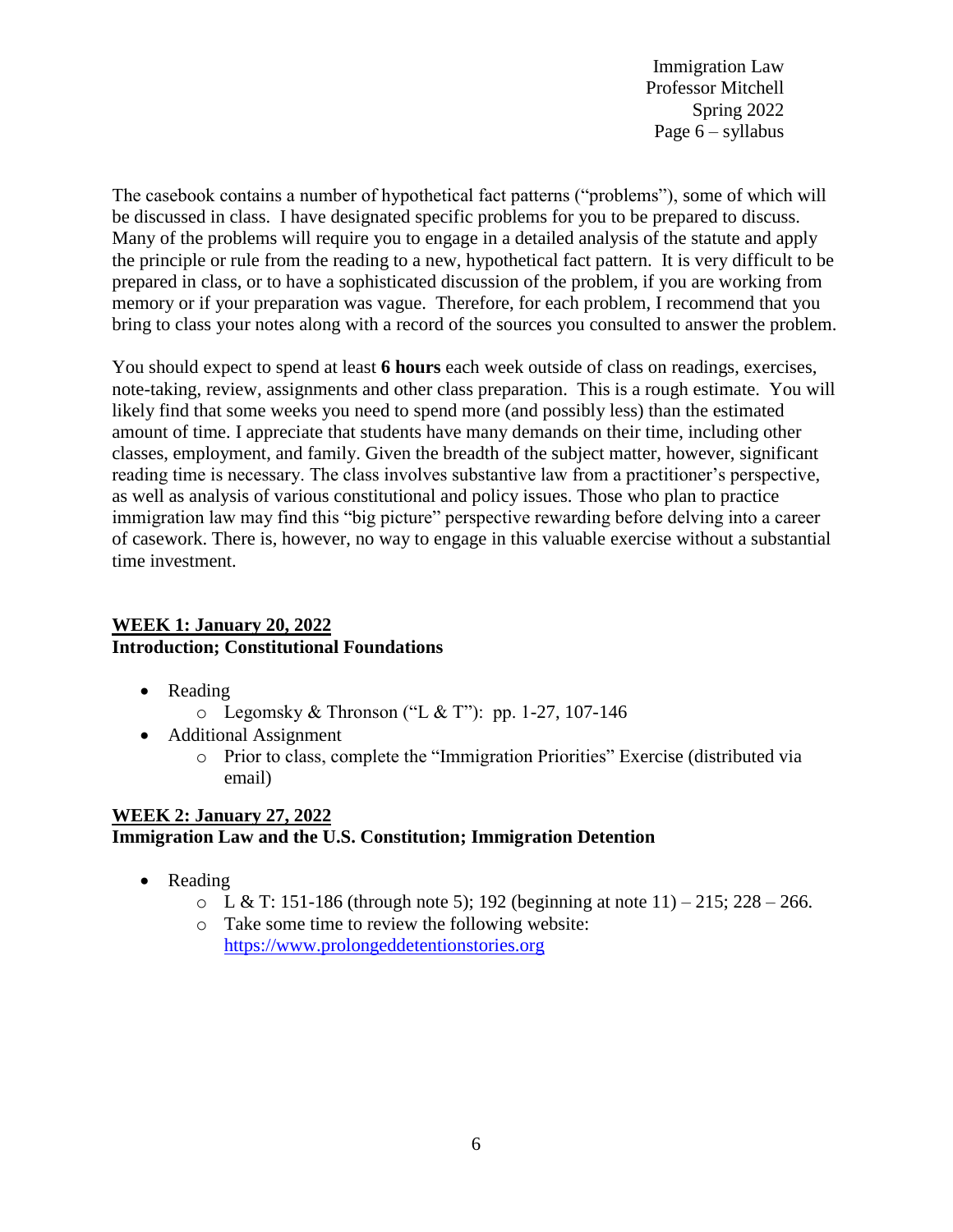Immigration Law Professor Mitchell Spring 2022 Page 6 – syllabus

The casebook contains a number of hypothetical fact patterns ("problems"), some of which will be discussed in class. I have designated specific problems for you to be prepared to discuss. Many of the problems will require you to engage in a detailed analysis of the statute and apply the principle or rule from the reading to a new, hypothetical fact pattern. It is very difficult to be prepared in class, or to have a sophisticated discussion of the problem, if you are working from memory or if your preparation was vague. Therefore, for each problem, I recommend that you bring to class your notes along with a record of the sources you consulted to answer the problem.

You should expect to spend at least **6 hours** each week outside of class on readings, exercises, note-taking, review, assignments and other class preparation. This is a rough estimate. You will likely find that some weeks you need to spend more (and possibly less) than the estimated amount of time. I appreciate that students have many demands on their time, including other classes, employment, and family. Given the breadth of the subject matter, however, significant reading time is necessary. The class involves substantive law from a practitioner's perspective, as well as analysis of various constitutional and policy issues. Those who plan to practice immigration law may find this "big picture" perspective rewarding before delving into a career of casework. There is, however, no way to engage in this valuable exercise without a substantial time investment.

### **WEEK 1: January 20, 2022 Introduction; Constitutional Foundations**

- Reading
	- $\circ$  Legomsky & Thronson ("L & T"): pp. 1-27, 107-146
- Additional Assignment
	- o Prior to class, complete the "Immigration Priorities" Exercise (distributed via email)

### **WEEK 2: January 27, 2022 Immigration Law and the U.S. Constitution; Immigration Detention**

- Reading
	- $\circ$  L & T: 151-186 (through note 5); 192 (beginning at note 11) 215; 228 266.
	- o Take some time to review the following website: [https://www.prolongeddetentionstories.org](https://www.prolongeddetentionstories.org/)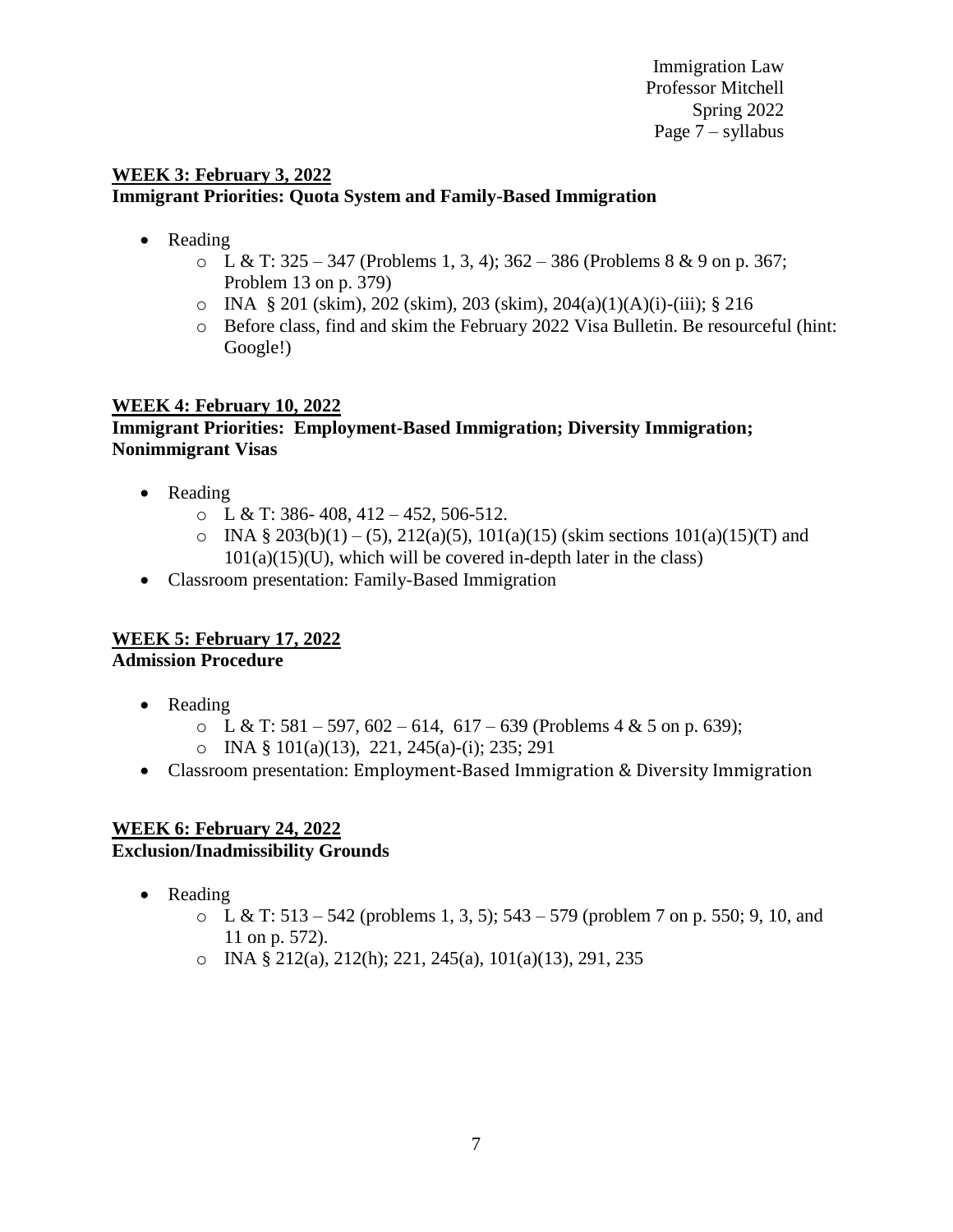Immigration Law Professor Mitchell Spring 2022 Page 7 – syllabus

### **WEEK 3: February 3, 2022 Immigrant Priorities: Quota System and Family-Based Immigration**

- Reading
	- $\circ$  L & T: 325 347 (Problems 1, 3, 4); 362 386 (Problems 8 & 9 on p. 367; Problem 13 on p. 379)
	- o INA § 201 (skim), 202 (skim), 203 (skim), 204(a)(1)(A)(i)-(iii); § 216
	- o Before class, find and skim the February 2022 Visa Bulletin. Be resourceful (hint: Google!)

# **WEEK 4: February 10, 2022**

### **Immigrant Priorities: Employment-Based Immigration; Diversity Immigration; Nonimmigrant Visas**

- Reading
	- $\circ$  L & T: 386-408, 412 452, 506-512.
	- $\circ$  INA § 203(b)(1) (5), 212(a)(5), 101(a)(15) (skim sections 101(a)(15)(T) and  $101(a)(15)(U)$ , which will be covered in-depth later in the class)
- Classroom presentation: Family-Based Immigration

# **WEEK 5: February 17, 2022**

**Admission Procedure** 

- Reading
	- $\circ$  L & T: 581 597, 602 614, 617 639 (Problems 4 & 5 on p. 639);
	- o INA § 101(a)(13), 221, 245(a)-(i); 235; 291
- Classroom presentation: Employment-Based Immigration & Diversity Immigration

### **WEEK 6: February 24, 2022 Exclusion/Inadmissibility Grounds**

- Reading
	- $\circ$  L & T: 513 542 (problems 1, 3, 5); 543 579 (problem 7 on p. 550; 9, 10, and 11 on p. 572).
	- o INA § 212(a), 212(h); 221, 245(a), 101(a)(13), 291, 235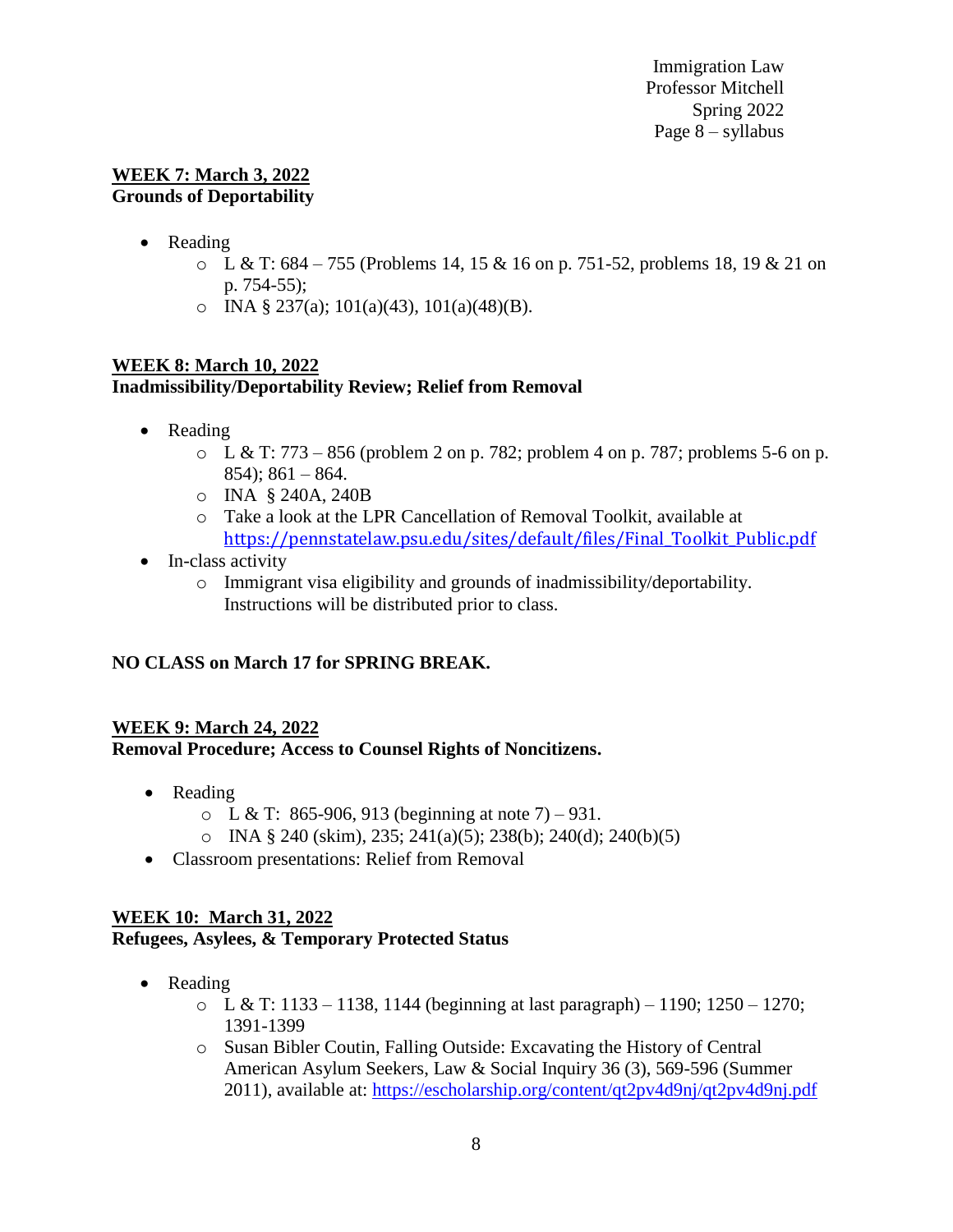#### **WEEK 7: March 3, 2022 Grounds of Deportability**

- Reading
	- $\circ$  L & T: 684 755 (Problems 14, 15 & 16 on p. 751-52, problems 18, 19 & 21 on p. 754-55);
	- o INA § 237(a); 101(a)(43), 101(a)(48)(B).

### **WEEK 8: March 10, 2022 Inadmissibility/Deportability Review; Relief from Removal**

- Reading
	- $\circ$  L & T: 773 856 (problem 2 on p. 782; problem 4 on p. 787; problems 5-6 on p. 854); 861 – 864.
	- o INA § 240A, 240B
	- o Take a look at the LPR Cancellation of Removal Toolkit, available at [https://pennstatelaw.psu.edu/sites/default/files/Final\\_Toolkit\\_Public.pdf](https://pennstatelaw.psu.edu/sites/default/files/Final_Toolkit_Public.pdf)
- In-class activity
	- o Immigrant visa eligibility and grounds of inadmissibility/deportability. Instructions will be distributed prior to class.

# **NO CLASS on March 17 for SPRING BREAK.**

#### **WEEK 9: March 24, 2022 Removal Procedure; Access to Counsel Rights of Noncitizens.**

- Reading
	- $\circ$  L & T: 865-906, 913 (beginning at note 7) 931.
	- o INA § 240 (skim), 235; 241(a)(5); 238(b); 240(d); 240(b)(5)
- Classroom presentations: Relief from Removal

### **WEEK 10: March 31, 2022 Refugees, Asylees, & Temporary Protected Status**

- Reading
	- $\circ$  L & T: 1133 1138, 1144 (beginning at last paragraph) 1190; 1250 1270; 1391-1399
	- o Susan Bibler Coutin, Falling Outside: Excavating the History of Central American Asylum Seekers, Law & Social Inquiry 36 (3), 569-596 (Summer 2011), available at:<https://escholarship.org/content/qt2pv4d9nj/qt2pv4d9nj.pdf>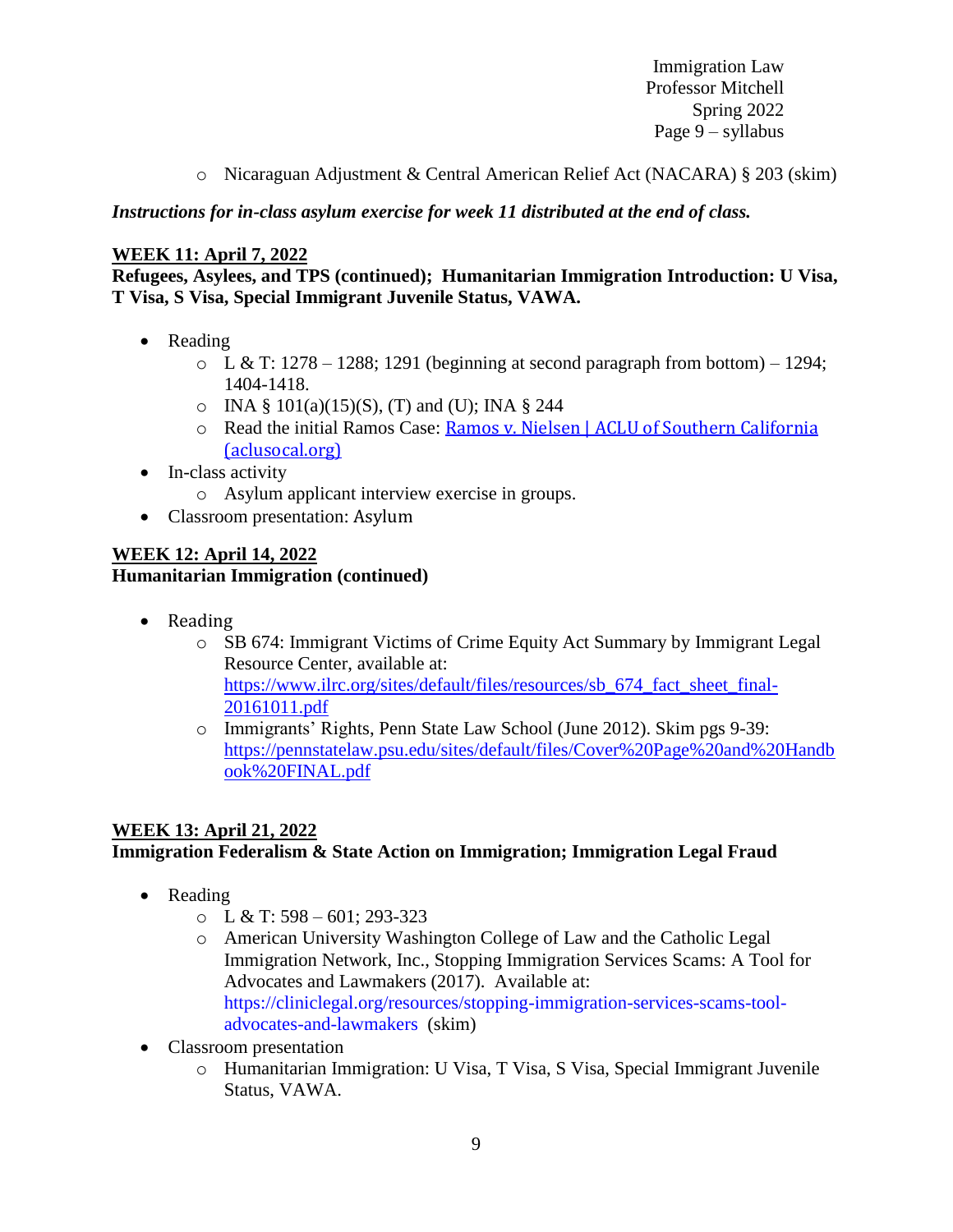Immigration Law Professor Mitchell Spring 2022 Page 9 – syllabus

o Nicaraguan Adjustment & Central American Relief Act (NACARA) § 203 (skim)

*Instructions for in-class asylum exercise for week 11 distributed at the end of class.*

# **WEEK 11: April 7, 2022**

**Refugees, Asylees, and TPS (continued); Humanitarian Immigration Introduction: U Visa, T Visa, S Visa, Special Immigrant Juvenile Status, VAWA.**

- Reading
	- $\circ$  L & T: 1278 1288; 1291 (beginning at second paragraph from bottom) 1294; 1404-1418.
	- $\circ$  INA § 101(a)(15)(S), (T) and (U); INA § 244
	- o Read the initial Ramos Case: Ramos v. Nielsen | ACLU of Southern California [\(aclusocal.org\)](https://www.aclusocal.org/en/cases/ramos-v-nielsen)
- $\bullet$  In-class activity
	- o Asylum applicant interview exercise in groups.
- Classroom presentation: Asylum

### **WEEK 12: April 14, 2022 Humanitarian Immigration (continued)**

- Reading
	- o SB 674: Immigrant Victims of Crime Equity Act Summary by Immigrant Legal Resource Center, available at: [https://www.ilrc.org/sites/default/files/resources/sb\\_674\\_fact\\_sheet\\_final-](https://www.ilrc.org/sites/default/files/resources/sb_674_fact_sheet_final-20161011.pdf)[20161011.pdf](https://www.ilrc.org/sites/default/files/resources/sb_674_fact_sheet_final-20161011.pdf)
	- o Immigrants' Rights, Penn State Law School (June 2012). Skim pgs 9-39: [https://pennstatelaw.psu.edu/sites/default/files/Cover%20Page%20and%20Handb](https://pennstatelaw.psu.edu/sites/default/files/Cover%20Page%20and%20Handbook%20FINAL.pdf) [ook%20FINAL.pdf](https://pennstatelaw.psu.edu/sites/default/files/Cover%20Page%20and%20Handbook%20FINAL.pdf)

# **WEEK 13: April 21, 2022 Immigration Federalism & State Action on Immigration; Immigration Legal Fraud**

- Reading
	- $\circ$  L & T: 598 601; 293-323
	- o American University Washington College of Law and the Catholic Legal Immigration Network, Inc., Stopping Immigration Services Scams: A Tool for Advocates and Lawmakers (2017). Available at: [https://cliniclegal.org/resources/stopping-immigration-services-scams-tool](https://cliniclegal.org/resources/stopping-immigration-services-scams-tool-advocates-and-lawmakers)[advocates-and-lawmakers](https://cliniclegal.org/resources/stopping-immigration-services-scams-tool-advocates-and-lawmakers) (skim)
- Classroom presentation
	- o Humanitarian Immigration: U Visa, T Visa, S Visa, Special Immigrant Juvenile Status, VAWA.